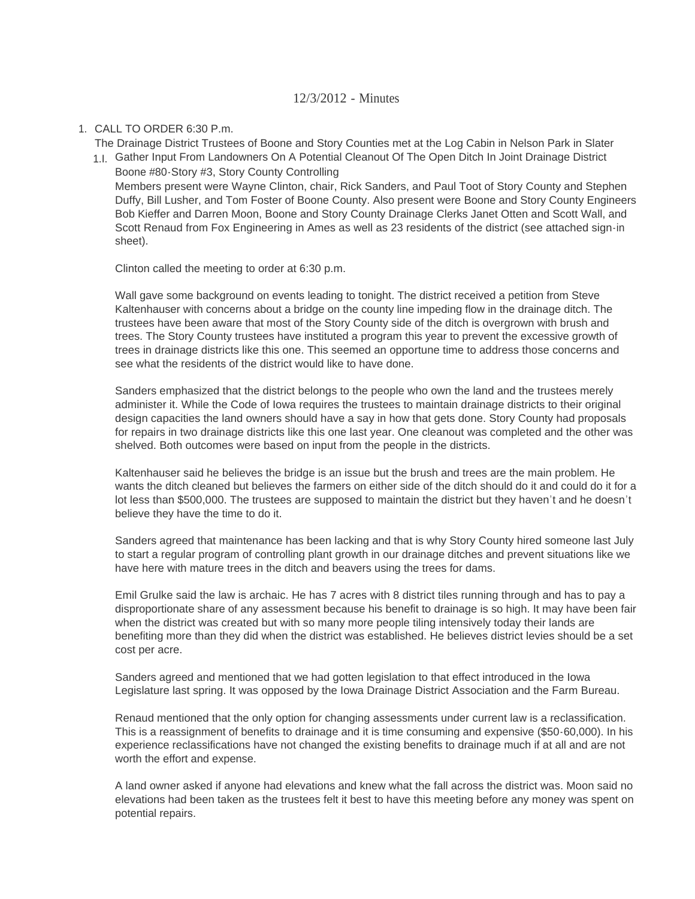## 12/3/2012 - Minutes

## CALL TO ORDER 6:30 P.m. 1.

The Drainage District Trustees of Boone and Story Counties met at the Log Cabin in Nelson Park in Slater

1.I. Gather Input From Landowners On A Potential Cleanout Of The Open Ditch In Joint Drainage District Boone #80-Story #3, Story County Controlling

Members present were Wayne Clinton, chair, Rick Sanders, and Paul Toot of Story County and Stephen Duffy, Bill Lusher, and Tom Foster of Boone County. Also present were Boone and Story County Engineers Bob Kieffer and Darren Moon, Boone and Story County Drainage Clerks Janet Otten and Scott Wall, and Scott Renaud from Fox Engineering in Ames as well as 23 residents of the district (see attached sign-in sheet).

Clinton called the meeting to order at 6:30 p.m.

Wall gave some background on events leading to tonight. The district received a petition from Steve Kaltenhauser with concerns about a bridge on the county line impeding flow in the drainage ditch. The trustees have been aware that most of the Story County side of the ditch is overgrown with brush and trees. The Story County trustees have instituted a program this year to prevent the excessive growth of trees in drainage districts like this one. This seemed an opportune time to address those concerns and see what the residents of the district would like to have done.

Sanders emphasized that the district belongs to the people who own the land and the trustees merely administer it. While the Code of Iowa requires the trustees to maintain drainage districts to their original design capacities the land owners should have a say in how that gets done. Story County had proposals for repairs in two drainage districts like this one last year. One cleanout was completed and the other was shelved. Both outcomes were based on input from the people in the districts.

Kaltenhauser said he believes the bridge is an issue but the brush and trees are the main problem. He wants the ditch cleaned but believes the farmers on either side of the ditch should do it and could do it for a lot less than \$500,000. The trustees are supposed to maintain the district but they haven't and he doesn't believe they have the time to do it.

Sanders agreed that maintenance has been lacking and that is why Story County hired someone last July to start a regular program of controlling plant growth in our drainage ditches and prevent situations like we have here with mature trees in the ditch and beavers using the trees for dams.

Emil Grulke said the law is archaic. He has 7 acres with 8 district tiles running through and has to pay a disproportionate share of any assessment because his benefit to drainage is so high. It may have been fair when the district was created but with so many more people tiling intensively today their lands are benefiting more than they did when the district was established. He believes district levies should be a set cost per acre.

Sanders agreed and mentioned that we had gotten legislation to that effect introduced in the Iowa Legislature last spring. It was opposed by the Iowa Drainage District Association and the Farm Bureau.

Renaud mentioned that the only option for changing assessments under current law is a reclassification. This is a reassignment of benefits to drainage and it is time consuming and expensive (\$50-60,000). In his experience reclassifications have not changed the existing benefits to drainage much if at all and are not worth the effort and expense.

A land owner asked if anyone had elevations and knew what the fall across the district was. Moon said no elevations had been taken as the trustees felt it best to have this meeting before any money was spent on potential repairs.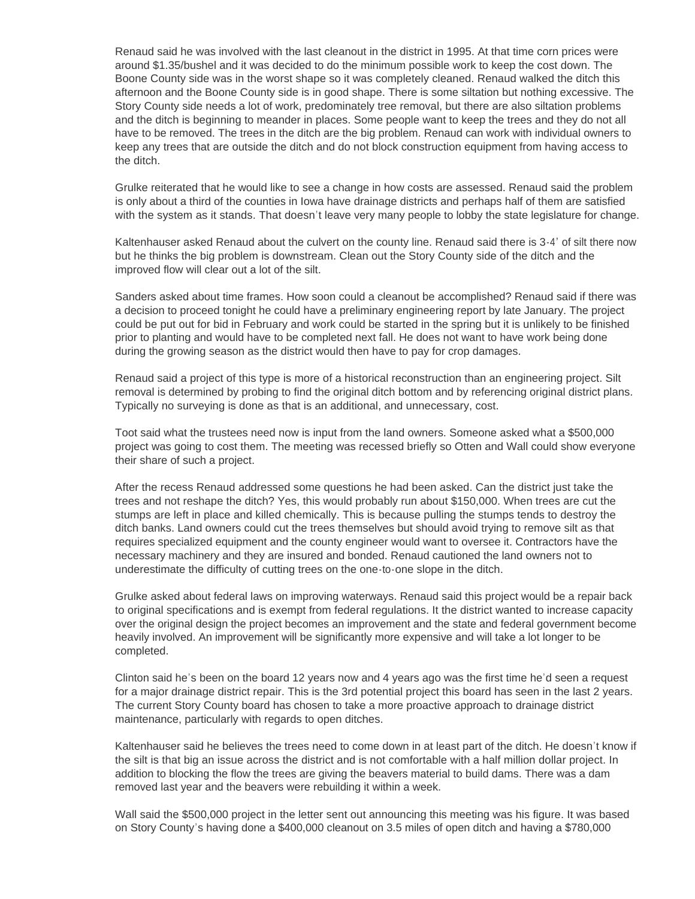Renaud said he was involved with the last cleanout in the district in 1995. At that time corn prices were around \$1.35/bushel and it was decided to do the minimum possible work to keep the cost down. The Boone County side was in the worst shape so it was completely cleaned. Renaud walked the ditch this afternoon and the Boone County side is in good shape. There is some siltation but nothing excessive. The Story County side needs a lot of work, predominately tree removal, but there are also siltation problems and the ditch is beginning to meander in places. Some people want to keep the trees and they do not all have to be removed. The trees in the ditch are the big problem. Renaud can work with individual owners to keep any trees that are outside the ditch and do not block construction equipment from having access to the ditch.

Grulke reiterated that he would like to see a change in how costs are assessed. Renaud said the problem is only about a third of the counties in Iowa have drainage districts and perhaps half of them are satisfied with the system as it stands. That doesn't leave very many people to lobby the state legislature for change.

Kaltenhauser asked Renaud about the culvert on the county line. Renaud said there is 3-4' of silt there now but he thinks the big problem is downstream. Clean out the Story County side of the ditch and the improved flow will clear out a lot of the silt.

Sanders asked about time frames. How soon could a cleanout be accomplished? Renaud said if there was a decision to proceed tonight he could have a preliminary engineering report by late January. The project could be put out for bid in February and work could be started in the spring but it is unlikely to be finished prior to planting and would have to be completed next fall. He does not want to have work being done during the growing season as the district would then have to pay for crop damages.

Renaud said a project of this type is more of a historical reconstruction than an engineering project. Silt removal is determined by probing to find the original ditch bottom and by referencing original district plans. Typically no surveying is done as that is an additional, and unnecessary, cost.

Toot said what the trustees need now is input from the land owners. Someone asked what a \$500,000 project was going to cost them. The meeting was recessed briefly so Otten and Wall could show everyone their share of such a project.

After the recess Renaud addressed some questions he had been asked. Can the district just take the trees and not reshape the ditch? Yes, this would probably run about \$150,000. When trees are cut the stumps are left in place and killed chemically. This is because pulling the stumps tends to destroy the ditch banks. Land owners could cut the trees themselves but should avoid trying to remove silt as that requires specialized equipment and the county engineer would want to oversee it. Contractors have the necessary machinery and they are insured and bonded. Renaud cautioned the land owners not to underestimate the difficulty of cutting trees on the one-to-one slope in the ditch.

Grulke asked about federal laws on improving waterways. Renaud said this project would be a repair back to original specifications and is exempt from federal regulations. It the district wanted to increase capacity over the original design the project becomes an improvement and the state and federal government become heavily involved. An improvement will be significantly more expensive and will take a lot longer to be completed.

Clinton said he's been on the board 12 years now and 4 years ago was the first time he'd seen a request for a major drainage district repair. This is the 3rd potential project this board has seen in the last 2 years. The current Story County board has chosen to take a more proactive approach to drainage district maintenance, particularly with regards to open ditches.

Kaltenhauser said he believes the trees need to come down in at least part of the ditch. He doesn't know if the silt is that big an issue across the district and is not comfortable with a half million dollar project. In addition to blocking the flow the trees are giving the beavers material to build dams. There was a dam removed last year and the beavers were rebuilding it within a week.

Wall said the \$500,000 project in the letter sent out announcing this meeting was his figure. It was based on Story County's having done a \$400,000 cleanout on 3.5 miles of open ditch and having a \$780,000